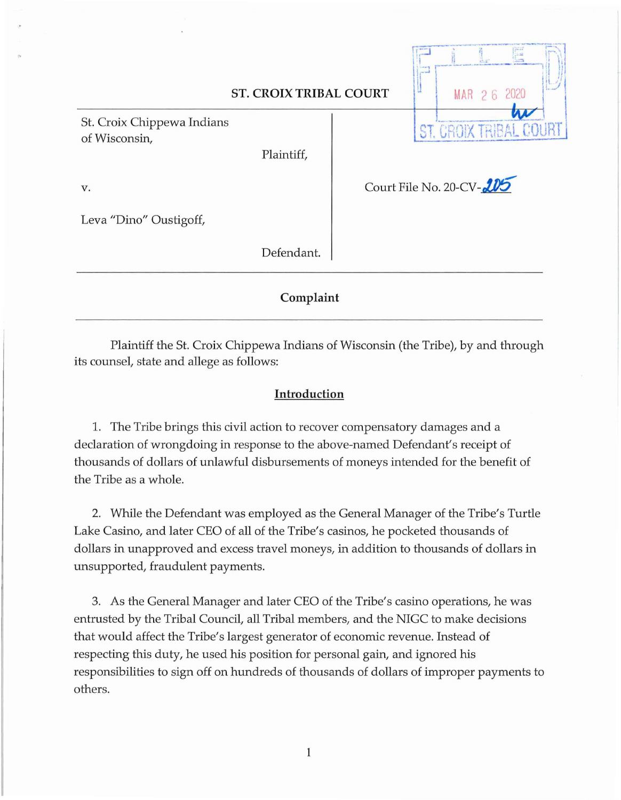| <b>ST. CROIX TRIBAL COURT</b>               |            |                          |  | MAR 2 6 2020 |  |  |  |
|---------------------------------------------|------------|--------------------------|--|--------------|--|--|--|
| St. Croix Chippewa Indians<br>of Wisconsin, | Plaintiff, |                          |  |              |  |  |  |
| v.<br>Leva "Dino" Oustigoff,                |            | Court File No. 20-CV-205 |  |              |  |  |  |
|                                             | Defendant. |                          |  |              |  |  |  |
| Complaint                                   |            |                          |  |              |  |  |  |

Plaintiff the St. Croix Chippewa Indians of Wisconsin (the Tribe), by and through its counsel, state and allege as follows:

## **Introduction**

1. The Tribe brings this civil action to recover compensatory damages and a declaration of wrongdoing in response to the above-named Defendant's receipt of thousands of dollars of unlawful disbursements of moneys intended for the benefit of the Tribe as a whole.

2. While the Defendant was employed as the General Manager of the Tribe's Turtle Lake Casino, and later CEO of all of the Tribe's casinos, he pocketed thousands of dollars in unapproved and excess travel moneys, in addition to thousands of dollars in unsupported, fraudulent payments.

3. As the General Manager and later CEO of the Tribe's casino operations, he was entrusted by the Tribal Council, all Tribal members, and the NIGC to make decisions that would affect the Tribe's largest generator of economic revenue. Instead of respecting this duty, he used his position for personal gain, and ignored his responsibilities to sign off on hundreds of thousands of dollars of improper payments to others.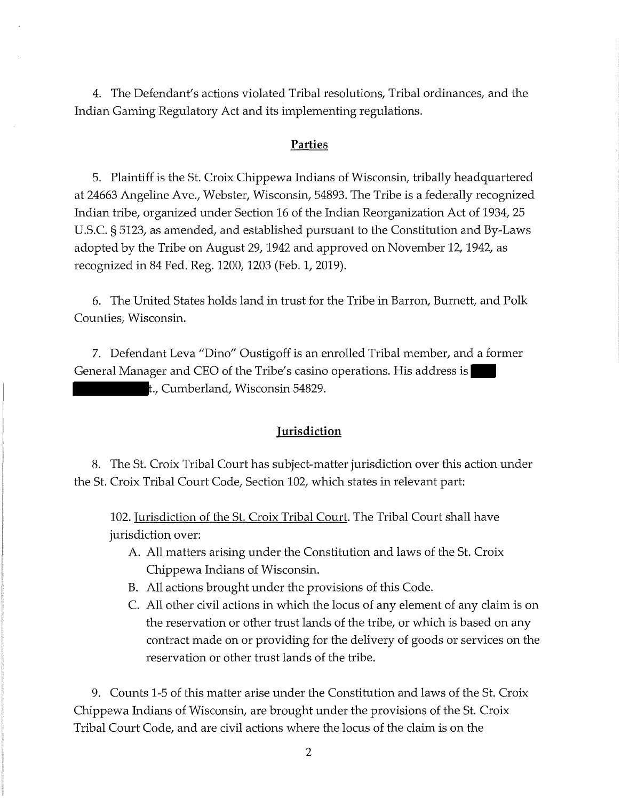4. The Defendant's actions violated Tribal resolutions, Tribal ordinances, and the Indian Gaming Regulatory Act and its implementing regulations.

#### **Parties**

5. Plaintiff is the St. Croix Chippewa Indians of Wisconsin, tribally headquartered at 24663 Angeline Ave., Webster, Wisconsin, 54893. The Tribe is a federally recognized Indian tribe, organized under Section 16 of the Indian Reorganization Act of 1934, 25 U.S.C. § 5123, as amended, and established pursuant to the Constitution and By-Laws adopted by the Tribe on August 29, 1942 and approved on November 12, 1942, as recognized in 84 Fed. Reg. 1200, 1203 (Feb. 1, 2019).

6. The United States holds land in trust for the Tribe in Barron, Burnett, and Polk Counties, Wisconsin.

7. Defendant Leva "Dino" Oustigoff is an enrolled Tribal member, and a former General Manager and CEO of the Tribe's casino operations. His address is t., Cumberland, Wisconsin 54829.

### **Jurisdiction**

8. The St. Croix Tribal Court has subject-matter jurisdiction over this action under the St. Croix Tribal Court Code, Section 102, which states in relevant part:

102. Jurisdiction of the St. Croix Tribal Court. The Tribal Court shall have jurisdiction over:

- A. All matters arising under the Constitution and laws of the St. Croix Chippewa Indians of Wisconsin.
- B. All actions brought under the provisions of this Code.
- C. All other civil actions in which the locus of any element of any claim is on the reservation or other trust lands of the tribe, or which is based on any contract made on or providing for the delivery of goods or services on the reservation or other trust lands of the tribe.

9. Counts 1-5 of this matter arise under the Constitution and laws of the St. Croix Chippewa Indians of Wisconsin, are brought under the provisions of the St. Croix Tribal Court Code, and are civil actions where the locus of the claim is on the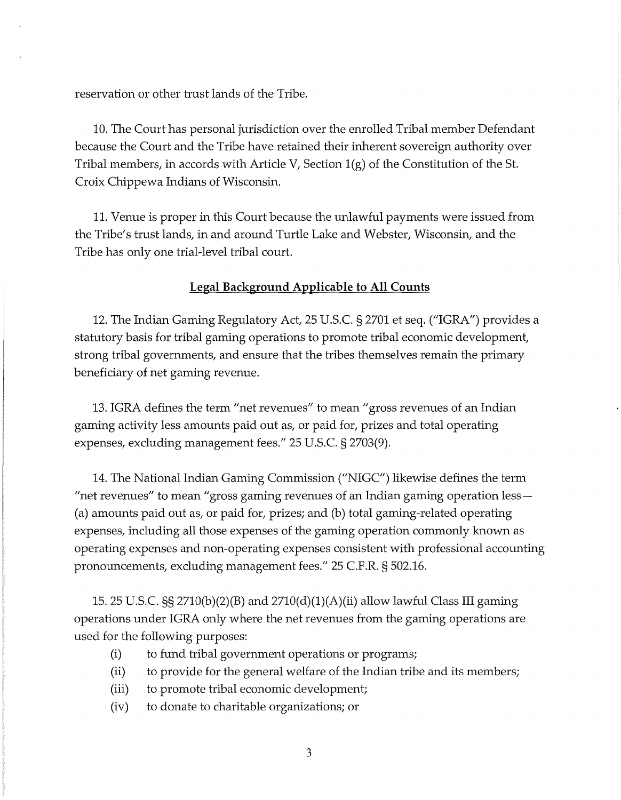reservation or other trust lands of the Tribe.

10. The Court has personal jurisdiction over the enrolled Tribal member Defendant because the Court and the Tribe have retained their inherent sovereign authority over Tribal members, in accords with Article V, Section  $1(g)$  of the Constitution of the St. Croix Chippewa Indians of Wisconsin.

11. Venue is proper in this Court because the unlawful payments were issued from the Tribe's trust lands, in and around Turtle Lake and Webster, Wisconsin, and the Tribe has only one trial-level tribal court.

### **Legal Background Applicable to All Counts**

12. The Indian Gaming Regulatory Act, 25 U.S.C. § 2701 et seq. ("IGRA") provides a statutory basis for tribal gaming operations to promote tribal economic development, strong tribal governments, and ensure that the tribes themselves remain the primary beneficiary of net gaming revenue.

13. IGRA defines the term "net revenues" to mean "gross revenues of an Indian gaming activity less amounts paid out as, or paid for, prizes and total operating expenses, excluding management fees." 25 U.S.C. § 2703(9).

14. The National Indian Gaming Commission ("NIGC") likewise defines the term "net revenues" to mean "gross gaming revenues of an Indian gaming operation less— ( a) amounts paid out as, or paid for, prizes; and (b) total gaming-related operating expenses, including all those expenses of the gaming operation commonly known as operating expenses and non-operating expenses consistent with professional accounting pronouncements, excluding management fees." 25 C.F.R. § 502.16.

15. 25 U.S.C.  $\S$  2710(b)(2)(B) and 2710(d)(1)(A)(ii) allow lawful Class III gaming operations under IGRA only where the net revenues from the gaming operations are used for the following purposes:

- (i) to fund tribal government operations or programs;
- (ii) to provide for the general welfare of the Indian tribe and its members;
- (iii) to promote tribal economic development;
- (iv) to donate to charitable organizations; or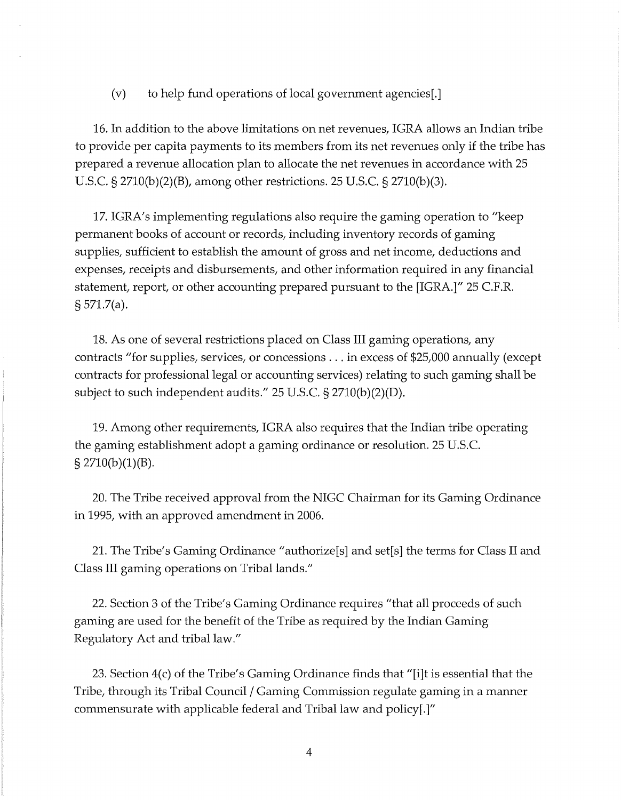(v) to help fund operations of local government agencies[.]

16. In addition to the above limitations on net revenues, IGRA allows an Indian tribe to provide per capita payments to its members from its net revenues only if the tribe has prepared a revenue allocation plan to allocate the net revenues in accordance with 25 U.S.C. § 2710(b)(2)(B), among other restrictions. 25 U.S.C. § 2710(b)(3).

17. IGRA's implementing regulations also require the gaming operation to "keep" permanent books of account or records, including inventory records of gaming supplies, sufficient to establish the amount of gross and net income, deductions and expenses, receipts and disbursements, and other information required in any financial statement, report, or other accounting prepared pursuant to the [IGRA.]" 25 C.F.R. § 571.7(a).

18. As one of several restrictions placed on Class III gaming operations, any contracts "for supplies, services, or concessions ... in excess of \$25,000 annually (except contracts for professional legal or accounting services) relating to such gaming shall be subject to such independent audits." 25 U.S.C. § 2710(b)(2)(D).

19. Among other requirements, IGRA also requires that the Indian tribe operating the gaming establishment adopt a gaming ordinance or resolution. 25 U.S.C.  $\S 2710(b)(1)(B)$ .

20. The Tribe received approval from the NIGC Chairman for its Gaming Ordinance in 1995, with an approved amendment in 2006.

21. The Tribe's Gaming Ordinance "authorize[s] and set[s] the terms for Class II and Class III gaming operations on Tribal lands."

22. Section 3 of the Tribe's Gaming Ordinance requires "that all proceeds of such gaming are used for the benefit of the Tribe as required by the Indian Gaming Regulatory Act and tribal law."

23. Section 4(c) of the Tribe's Gaming Ordinance finds that "[i]t is essential that the Tribe, through its Tribal Council / Gaming Commission regulate gaming in a manner commensurate with applicable federal and Tribal law and policy[.]"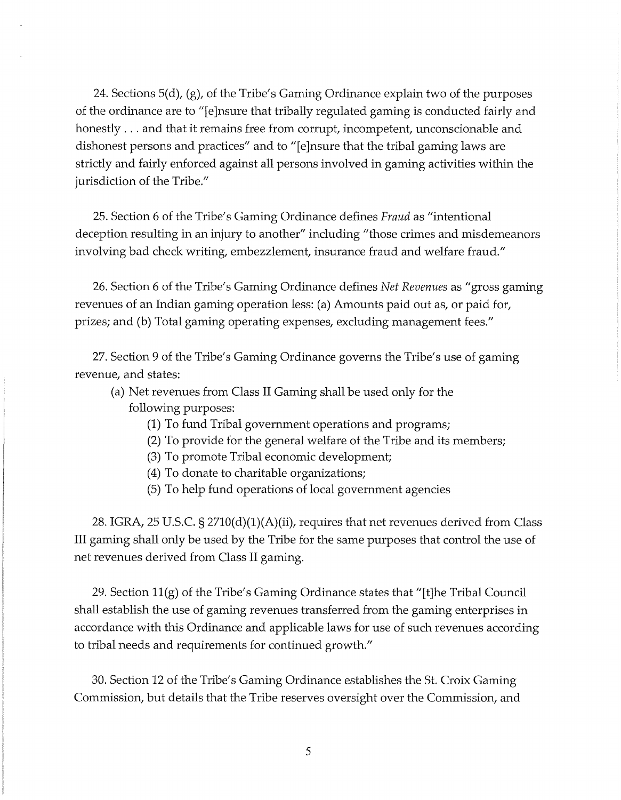24. Sections 5(d), (g), of the Tribe's Gaming Ordinance explain two of the purposes of the ordinance are to "[e]nsure that tribally regulated gaming is conducted fairly and honestly ... and that it remains free from corrupt, incompetent, unconscionable and dishonest persons and practices" and to "[e]nsure that the tribal gaming laws are strictly and fairly enforced against all persons involved in gaming activities within the jurisdiction of the Tribe."

25. Section 6 of the Tribe's Gaming Ordinance defines Fraud as "intentional deception resulting in an injury to another" including "those crimes and misdemeanors involving bad check writing, embezzlement, insurance fraud and welfare fraud."

26. Section 6 of the Tribe's Gaming Ordinance defines *Net Revenues* as "gross gaming revenues of an Indian gaming operation less: (a) Amounts paid out as, or paid for, prizes; and (b) Total gaming operating expenses, excluding management fees."

27. Section 9 of the Tribe's Gaming Ordinance governs the Tribe's use of gaming revenue, and states:

(a) Net revenues from Class II Gaming shall be used only for the following purposes:

- (1) To fund Tribal government operations and programs;
- (2) To provide for the general welfare of the Tribe and its members;
- (3) To promote Tribal economic development;
- (4) To donate to charitable organizations;
- (5) To help fund operations of local government agencies

28. IGRA, 25 U.S.C.  $\S 2710(d)(1)(A)(ii)$ , requires that net revenues derived from Class III gaming shall only be used by the Tribe for the same purposes that control the use of net revenues derived from Class II gaming.

29. Section ll(g) of the Tribe's Gaming Ordinance states that "[t]he Tribal Council shall establish the use of gaming revenues transferred from the gaming enterprises in accordance with this Ordinance and applicable laws for use of such revenues according to tribal needs and requirements for continued growth."

30. Section 12 of the Tribe's Gaming Ordinance establishes the St. Croix Gaming Commission, but details that the Tribe reserves oversight over the Commission, and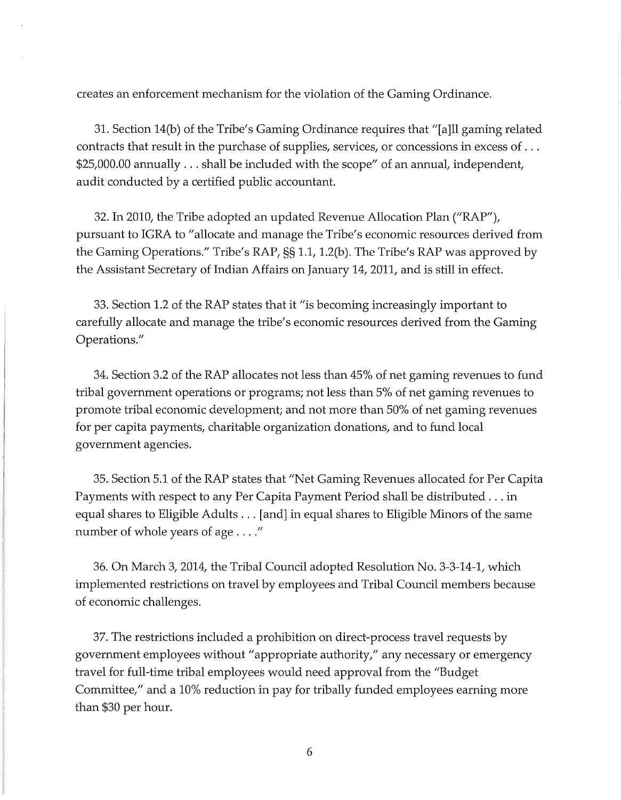creates an enforcement mechanism for the violation of the Gaming Ordinance.

31. Section 14(b) of the Tribe's Gaming Ordinance requires that "[a]ll gaming related contracts that result in the purchase of supplies, services, or concessions in excess of ... \$25,000.00 annually ... shall be included with the scope" of an annual, independent, audit conducted by a certified public accountant.

32. In 2010, the Tribe adopted an updated Revenue Allocation Plan ("RAP"), pursuant to IGRA to "allocate and manage the Tribe's economic resources derived from. the Gaming Operations." Tribe's RAP,§§ 1.1, l.2(b). The Tribe's RAP was approved by the Assistant Secretary of Indian Affairs on January 14, 2011, and is still in effect.

33. Section 1.2 of the RAP states that it "is becoming increasingly important to carefully allocate and manage the tribe's economic resources derived from the Gaming Operations."

34. Section 3.2 of the RAP allocates not less than 45% of net gaming revenues to fund tribal government operations or programs; not less than 5% of net gaming revenues to promote tribal economic development; and not more than 50% of net gaming revenues for per capita payments, charitable organization donations, and to fund local government agencies.

35. Section 5.1 of the RAP states that "Net Gaming Revenues allocated for Per Capita Payments with respect to any Per Capita Payment Period shall be distributed ... in equal shares to Eligible Adults ... [and] in equal shares to Eligible Minors of the same number of whole years of age . . . ."

36. On March 3, 2014, the Tribal Council adopted Resolution No. 3-3-14-1, which implemented restrictions on travel by employees and Tribal Council members because of economic challenges.

37. The restrictions included a prohibition on direct-process travel requests by government employees without "appropriate authority," any necessary or emergency travel for full-time tribal employees would need approval from the "Budget" Committee," and a 10% reduction in pay for tribally funded employees earning more than \$30 per hour.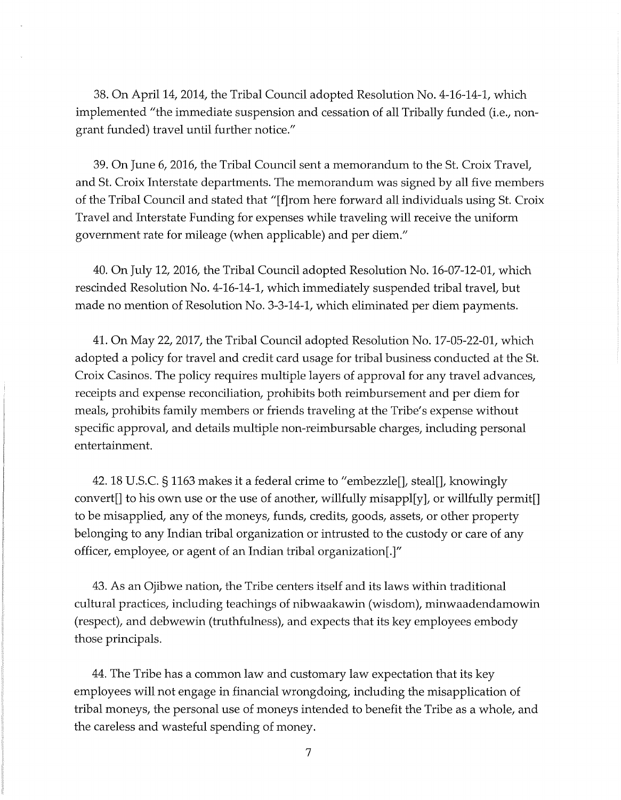38. On April 14, 2014, the Tribal Council adopted Resolution No. 4-16-14-1, which implemented "the immediate suspension and cessation of all Tribally funded (i.e., nongrant funded) travel until further notice."

39. On June 6, 2016, the Tribal Council sent a memorandum to the St. Croix Travel, and St. Croix Interstate departments. The memorandum was signed by all five members of the Tribal Council and stated that "[ f]rom here forward all individuals using St. Croix Travel and Interstate Funding for expenses while traveling will receive the uniform government rate for mileage (when applicable) and per diem."

40. On July 12, 2016, the Tribal Council adopted Resolution No. 16-07-12-01, which rescinded Resolution No. 4-16-14-1, which immediately suspended tribal travel, but made no mention of Resolution No. 3-3-14-1, which eliminated per diem payments.

41. On May 22, 2017, the Tribal Council adopted Resolution No. 17-05-22-01, which adopted a policy for travel and credit card usage for tribal business conducted at the St. Croix Casinos. The policy requires multiple layers of approval for any travel advances, receipts and expense reconciliation, prohibits both reimbursement and per diem for meals, prohibits family members or friends traveling at the Tribe's expense without specific approval, and details multiple non-reimbursable charges, including personal entertainment.

42. 18 U.S.C. § 1163 makes it a federal crime to "embezzle[], steal[], knowingly convert[] to his own use or the use of another, willfully misappl[y], or willfully permit[] to be misapplied, any of the moneys, funds, credits, goods, assets, or other property belonging to any Indian tribal organization or intrusted to the custody or care of any officer, employee, or agent of an Indian tribal organization[.]"

43. As an Ojibwe nation, the Tribe centers itself and its laws within traditional cultural practices, including teachings of nibwaakawin (wisdom), minwaadendamowin (respect), and debwewin (truthfulness), and expects that its key employees embody those principals.

44. The Tribe has a common law and customary law expectation that its key employees will not engage in financial wrongdoing, including the misapplication of tribal moneys, the personal use of moneys intended to benefit the Tribe as a whole, and the careless and wasteful spending of money.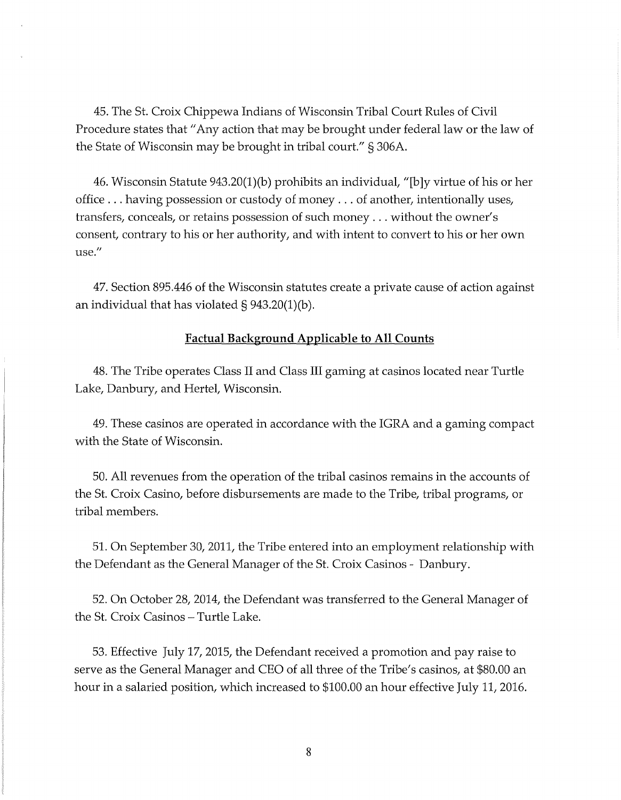45. The St. Croix Chippewa Indians of Wisconsin Tribal Court Rules of Civil Procedure states that "Any action that may be brought under federal law or the law of the State of Wisconsin may be brought in tribal court." § 306A.

46. Wisconsin Statute 943.20(1 )(b) prohibits an individual, "[b ]y virtue of his or her office ... having possession or custody of money ... of another, intentionally uses, transfers, conceals, or retains possession of such money ... without the owner's consent, contrary to his or her authority, and with intent to convert to his or her own use."

47. Section 895.446 of the Wisconsin statutes create a private cause of action against an individual that has violated§ 943.20(1)(b).

### **Factual Background Applicable to All Counts**

48. The Tribe operates Class II and Class III gaming at casinos located near Turtle Lake, Danbury, and Hertel, Wisconsin.

49. These casinos are operated in accordance with the IGRA and a gaming compact with the State of Wisconsin.

50. All revenues from the operation of the tribal casinos remains in the accounts of the St. Croix Casino, before disbursements are made to the Tribe, tribal programs, or tribal members.

51. On September 30, 2011, the Tribe entered into an employment relationship with the Defendant as the General Manager of the St. Croix Casinos - Danbury.

52. On October 28, 2014, the Defendant was transferred to the General Manager of the St. Croix Casinos – Turtle Lake.

53. Effective July 17, 2015, the Defendant received a promotion and pay raise to serve as the General Manager and CEO of all three of the Tribe's casinos, at \$80.00 an hour in a salaried position, which increased to \$100.00 an hour effective July 11, 2016.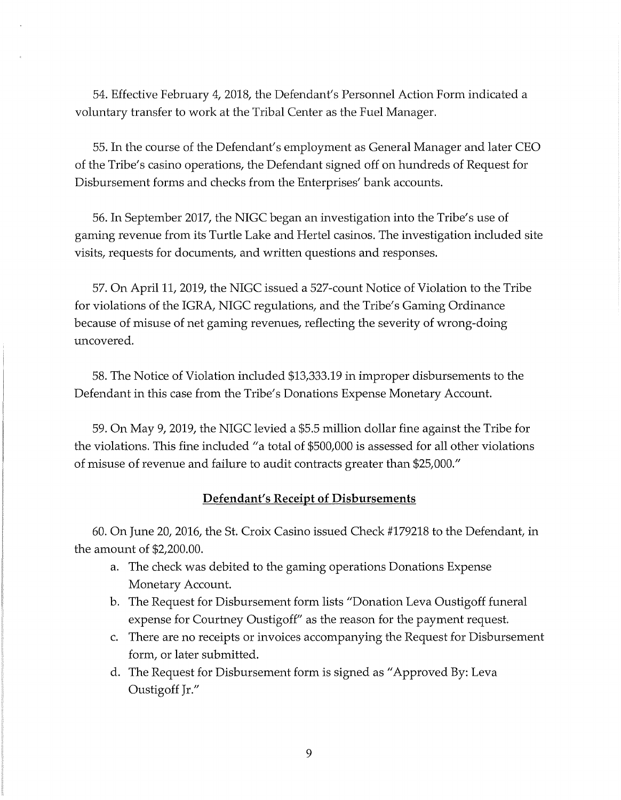54. Effective February 4, 2018, the Defendant's Personnel Action Form indicated a voluntary transfer to work at the Tribal Center as the Fuel Manager.

55. In the course of the Defendant's employment as General Manager and later CEO of the Tribe's casino operations, the Defendant signed off on hundreds of Request for Disbursement forms and checks from the Enterprises' bank accounts.

56. In September 2017, the NIGC began an investigation into the Tribe's use of gaming revenue from its Turtle Lake and Hertel casinos. The investigation included site visits, requests for documents, and written questions and responses.

57. On April 11, 2019, the NIGC issued a 527-count Notice of Violation to the Tribe for violations of the IGRA, NIGC regulations, and the Tribe's Gaming Ordinance because of misuse of net gaming revenues, reflecting the severity of wrong-doing uncovered.

58. The Notice of Violation included \$13,333.19 in improper disbursements to the Defendant in this case from the Tribe's Donations Expense Monetary Account.

59. On May 9, 2019, the NIGC levied a \$5.5 million dollar fine against the Tribe for the violations. This fine included "a total of \$500,000 is assessed for all other violations of misuse of revenue and failure to audit contracts greater than \$25,000."

# **Defendant's Receipt of Disbursements**

60. On June 20, 2016, the St. Croix Casino issued Check #179218 to the Defendant, in the amount of \$2,200.00.

- a. The check was debited to the gaming operations Donations Expense Monetary Account.
- b. The Request for Disbursement form lists "Donation Leva Oustigoff funeral expense for Courtney Oustigoff" as the reason for the payment request.
- c. There are no receipts or invoices accompanying the Request for Disbursement form, or later submitted.
- d. The Request for Disbursement form is signed as "Approved By: Leva Oustigoff Jr."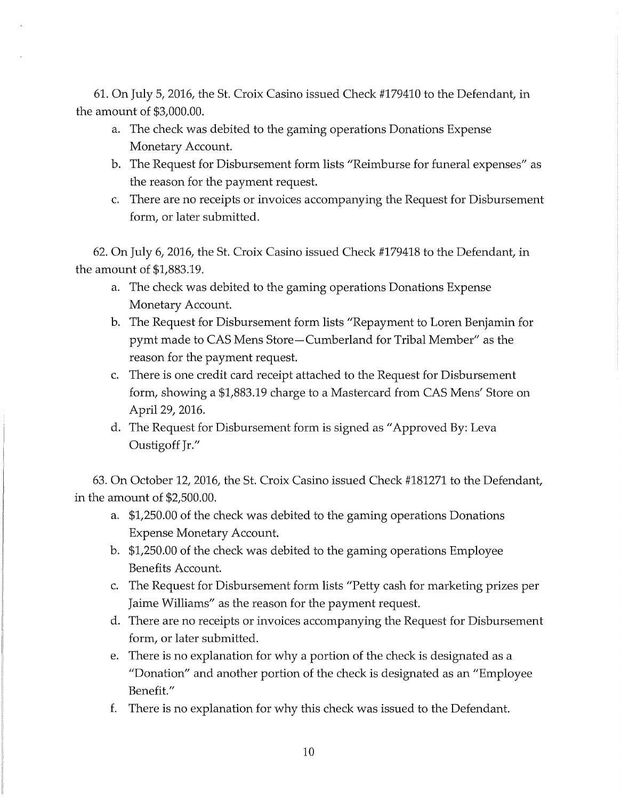61. On July 5, 2016, the St. Croix Casino issued Check #179410 to the Defendant, in the amount of \$3,000.00.

- a. The check was debited to the gaming operations Donations Expense Monetary Account.
- b. The Request for Disbursement form lists "Reimburse for funeral expenses" as the reason for the payment request.
- c. There are no receipts or invoices accompanying the Request for Disbursement form, or later submitted.

62. On July 6, 2016, the St. Croix Casino issued Check #179418 to the Defendant, in the amount of \$1,883.19.

- a. The check was debited to the gaming operations Donations Expense Monetary Account.
- b. The Request for Disbursement form lists "Repayment to Loren Benjamin for pymt made to CAS Mens Store-Cumberland for Tribal Member" as the reason for the payment request.
- c. There is one credit card receipt attached to the Request for Disbursement form, showing a \$1,883.19 charge to a Mastercard from CAS Mens' Store on April 29, 2016.
- d. The Request for Disbursement form is signed as "Approved By: Leva Oustigoff Jr."

63. On October 12, 2016, the St. Croix Casino issued Check #181271 to the Defendant, in the amount of \$2,500.00.

- a. \$1,250.00 of the check was debited to the gaming operations Donations Expense Monetary Account.
- b. \$1,250.00 of the check was debited to the gaming operations Employee Benefits Account.
- c. The Request for Disbursement form lists "Petty cash for marketing prizes per Jaime Williams" as the reason for the payment request.
- d. There are no receipts or invoices accompanying the Request for Disbursement form, or later submitted.
- e. There is no explanation for why a portion of the check is designated as a "Donation" and another portion of the check is designated as an "Employee Benefit."
- f. There is no explanation for why this check was issued to the Defendant.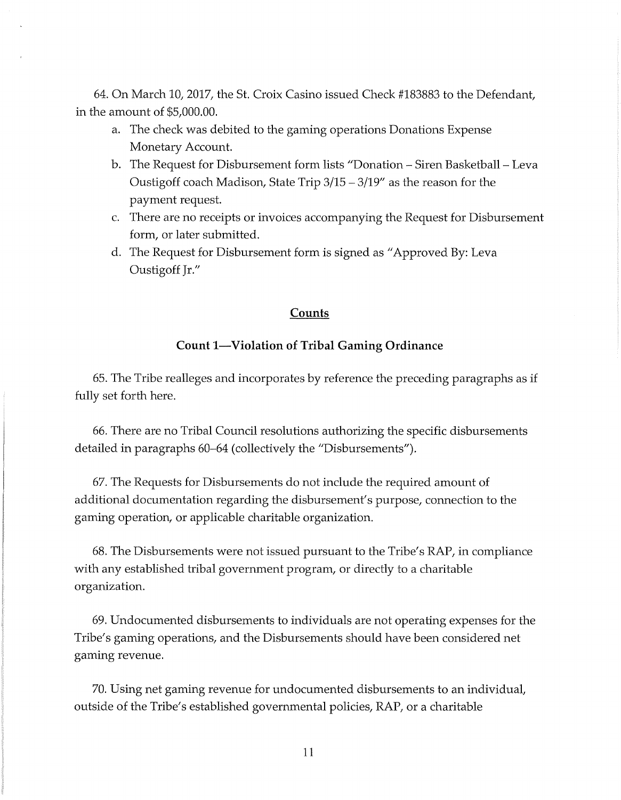64. On March 10, 2017, the St. Croix Casino issued Check #183883 to the Defendant, in the amount of \$5,000.00.

- a. The check was debited to the gaming operations Donations Expense Monetary Account.
- b. The Request for Disbursement form lists "Donation Siren Basketball Leva Oustigoff coach Madison, State Trip 3/15 - 3/19" as the reason for the payment request.
- c. There are no receipts or invoices accompanying the Request for Disbursement form, or later submitted.
- d. The Request for Disbursement form is signed as "Approved By: Leva Oustigoff Jr."

# **Counts**

## **Count 1-Violation of Tribal Gaming Ordinance**

65. The Tribe realleges and incorporates by reference the preceding paragraphs as if fully set forth here.

66. There are no Tribal Council resolutions authorizing the specific disbursements detailed in paragraphs 60–64 (collectively the "Disbursements").

67. The Requests for Disbursements do not include the required amount of additional documentation regarding the disbursement's purpose, connection to the gaming operation, or applicable charitable organization.

68. The Disbursements were not issued pursuant to the Tribe's RAP, in compliance with any established tribal government program, or directly to a charitable organization.

69. Undocumented disbursements to individuals are not operating expenses for the Tribe's gaming operations, and the Disbursements should have been considered net gaming revenue.

70. Using net gaming revenue for undocumented disbursements to an individual, outside of the Tribe's established governmental policies, RAP, or a charitable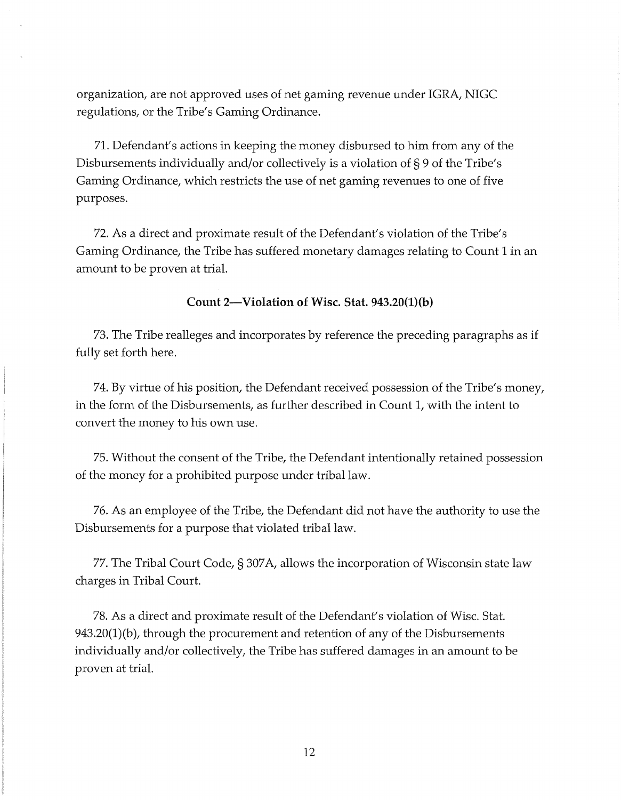organization, are not approved uses of net gaming revenue under IGRA, NIGC regulations, or the Tribe's Gaming Ordinance.

71. Defendant's actions in keeping the money disbursed to him from any of the Disbursements individually and/or collectively is a violation of§ 9 of the Tribe's Gaming Ordinance, which restricts the use of net gaming revenues to one of five purposes.

72. As a direct and proximate result of the Defendant's violation of the Tribe's Gaming Ordinance, the Tribe has suffered monetary damages relating to Count 1 in an amount to be proven at trial.

**Count 2-Violation of Wisc. Stat. 943.20(1)(b)** 

73. The Tribe realleges and incorporates by reference the preceding paragraphs as if fully set forth here.

7 4. By virtue of his position, the Defendant received possession of the Tribe's money, in the form of the Disbursements, as further described in Count 1, with the intent to convert the money to his own use.

75. Without the consent of the Tribe, the Defendant intentionally retained possession of the money for a prohibited purpose under tribal law.

76. As an employee of the Tribe, the Defendant did not have the authority to use the Disbursements for a purpose that violated tribal law.

77. The Tribal Court Code, § 307 A, allows the incorporation of Wisconsin state law charges in Tribal Court.

78. As a direct and proximate result of the Defendant's violation of Wisc. Stat. 943.20(1)(b), through the procurement and retention of any of the Disbursements individually and/or collectively, the Tribe has suffered damages in an amount to be proven at trial.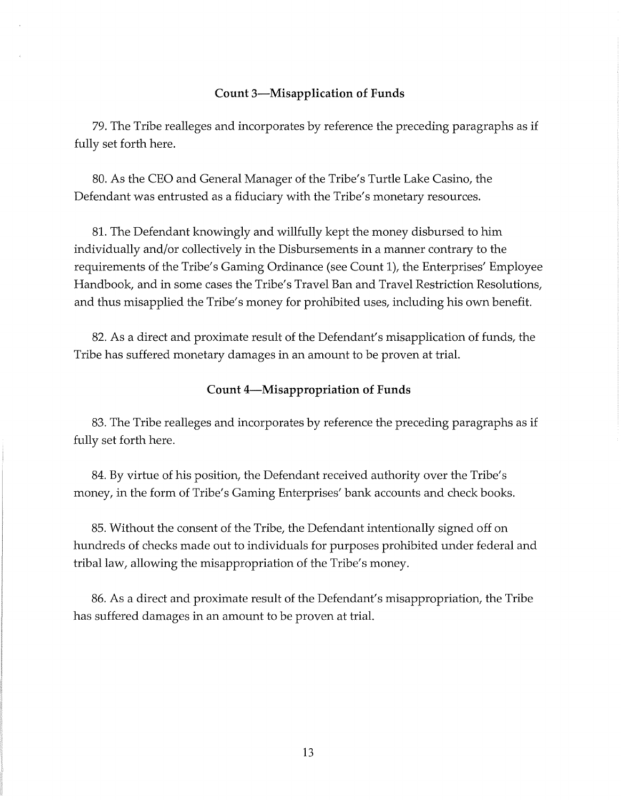#### **Count 3-Misapplication of Funds**

79. The Tribe realleges and incorporates by reference the preceding paragraphs as if fully set forth here.

80. As the CEO and General Manager of the Tribe's Turtle Lake Casino, the Defendant was entrusted as a fiduciary with the Tribe's monetary resources.

81. The Defendant knowingly and willfully kept the money disbursed to him individually and/or collectively in the Disbursements in a manner contrary to the requirements of the Tribe's Gaming Ordinance (see Count 1), the Enterprises' Employee Handbook, and in some cases the Tribe's Travel Ban and Travel Restriction Resolutions, and thus misapplied the Tribe's money for prohibited uses, including his own benefit.

82. As a direct and proximate result of the Defendant's misapplication of funds, the Tribe has suffered monetary damages in an amount to be proven at trial.

#### **Count 4-Misappropriation of Funds**

83. The Tribe realleges and incorporates by reference the preceding paragraphs as if fully set forth here.

84. By virtue of his position, the Defendant received authority over the Tribe's money, in the form of Tribe's Gaming Enterprises' bank accounts and check books.

85. Without the consent of the Tribe, the Defendant intentionally signed off on hundreds of checks made out to individuals for purposes prohibited under federal and tribal law, allowing the misappropriation of the Tribe's money.

86. As a direct and proximate result of the Defendant's misappropriation, the Tribe has suffered damages in an amount to be proven at trial.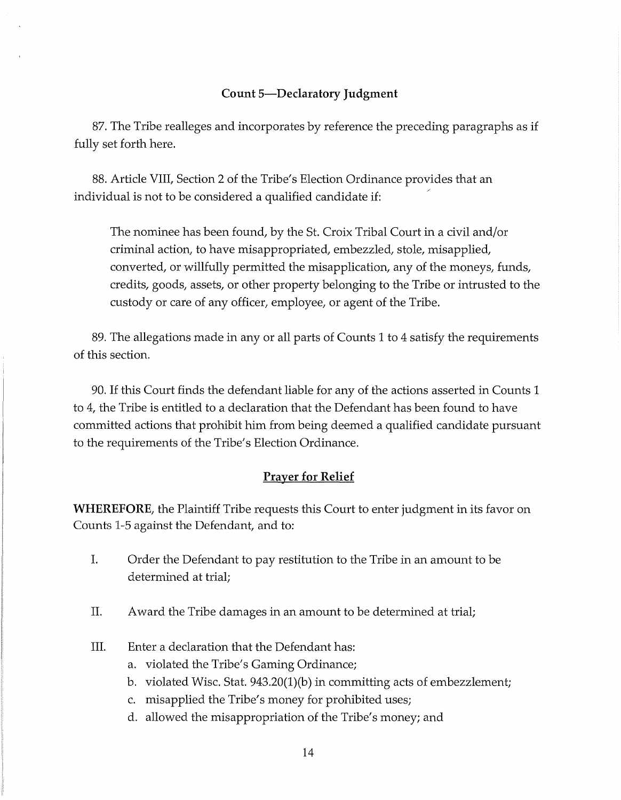## **Count 5-Declaratory Judgment**

87. The Tribe realleges and incorporates by reference the preceding paragraphs as if fully set forth here.

88. Article VIII, Section 2 of the Tribe's Election Ordinance provides that an individual is not to be considered a qualified candidate if:

The nominee has been found, by the St. Croix Tribal Court in a civil and/or criminal action, to have misappropriated, embezzled, stole, misapplied, converted, or willfully permitted the misapplication, any of the moneys, funds, credits, goods, assets, or other property belonging to the Tribe or intrusted to the custody or care of any officer, employee, or agent of the Tribe.

89. The allegations made in any or all parts of Counts 1 to 4 satisfy the requirements of this section.

90. If this Court finds the defendant liable for any of the actions asserted in Counts 1 to 4, the Tribe is entitled to a declaration that the Defendant has been found to have committed actions that prohibit him from being deemed a qualified candidate pursuant to the requirements of the Tribe's Election Ordinance.

# **Prayer for Relief**

**WHEREFORE,** the Plaintiff Tribe requests this Court to enter judgment in its favor on Counts 1-5 against the Defendant, and to:

- I. Order the Defendant to pay restitution to the Tribe in an amount to be determined at trial;
- II. Award the Tribe damages in an amount to be determined at trial;
- III. Enter a declaration that the Defendant has:
	- a. violated the Tribe's Gaming Ordinance;
	- b. violated Wisc. Stat. 943.20(1)(b) in committing acts of embezzlement;
	- c. misapplied the Tribe's money for prohibited uses;
	- d. allowed the misappropriation of the Tribe's money; and